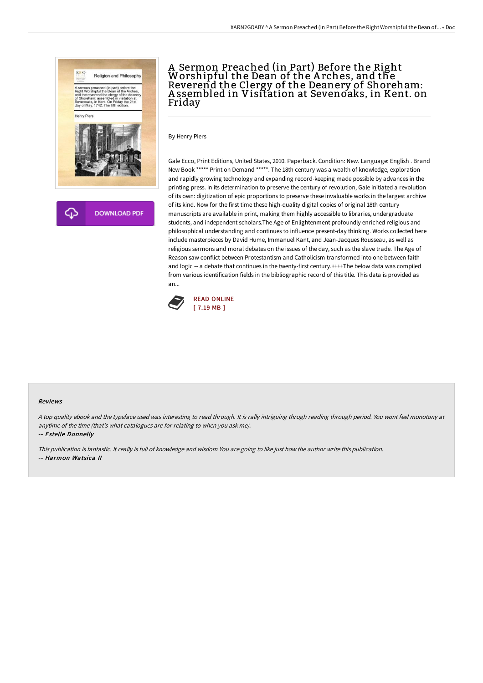

## A Sermon Preached (in Part) Before the Right Worshipful the Dean of the A rches, and the Reverend the Clergy of the Deanery of Shoreham: A ssembled in Visitation at Sevenoaks, in Kent. on Friday

By Henry Piers

Gale Ecco, Print Editions, United States, 2010. Paperback. Condition: New. Language: English . Brand New Book \*\*\*\*\* Print on Demand \*\*\*\*\*. The 18th century was a wealth of knowledge, exploration and rapidly growing technology and expanding record-keeping made possible by advances in the printing press. In its determination to preserve the century of revolution, Gale initiated a revolution of its own: digitization of epic proportions to preserve these invaluable works in the largest archive of its kind. Now for the first time these high-quality digital copies of original 18th century manuscripts are available in print, making them highly accessible to libraries, undergraduate students, and independent scholars.The Age of Enlightenment profoundly enriched religious and philosophical understanding and continues to influence present-day thinking. Works collected here include masterpieces by David Hume, Immanuel Kant, and Jean-Jacques Rousseau, as well as religious sermons and moral debates on the issues of the day, such as the slave trade. The Age of Reason saw conflict between Protestantism and Catholicism transformed into one between faith and logic -- a debate that continues in the twenty-first century.++++The below data was compiled from various identification fields in the bibliographic record of this title. This data is provided as an...



#### Reviews

<sup>A</sup> top quality ebook and the typeface used was interesting to read through. It is rally intriguing throgh reading through period. You wont feel monotony at anytime of the time (that's what catalogues are for relating to when you ask me).

-- Estelle Donnelly

This publication is fantastic. It really is full of knowledge and wisdom You are going to like just how the author write this publication.

-- Harmon Watsica II